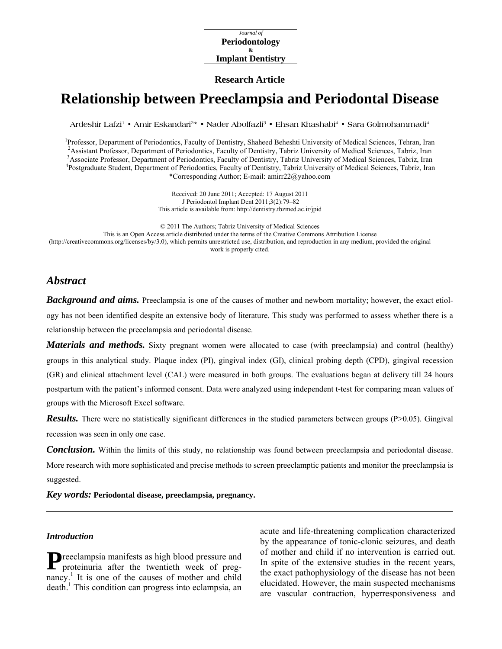#### *Journal of*  **Periodontology & Implant Dentistry**

#### **Research Article**

# **Relationship between Preeclampsia and Periodontal Disease**

Ardeshir Lafzi<sup>1</sup> • Amir Eskandari<sup>2</sup>\* • Nader Abolfazli<sup>3</sup> • Ehsan Khashabi<sup>4</sup> • Sara Golmohammadi<sup>4</sup>

<sup>1</sup> Professor, Department of Periodontics, Faculty of Dentistry, Shaheed Beheshti University of Medical Sciences, Tehran, Iran <sup>2</sup> Assistant Professor, Department of Periodonties, Feaulty of Dentistry, Tehriz, University o <sup>2</sup> Assistant Professor, Department of Periodontics, Faculty of Dentistry, Tabriz University of Medical Sciences, Tabriz, Iran Associate Professor, Department of Periodontics, Faculty of Dentistry, Tabriz University of Medical Sciences, Tabriz, Iran 4 Postgraduate Student, Department of Periodontics, Faculty of Dentistry, Tabriz University of Medi \*Corresponding Author; E-mail: amirr22@yahoo.com

> Received: 20 June 2011; Accepted: 17 August 2011 J Periodontol Implant Dent 2011;3(2):79–82 This article is available from:<http://dentistry.tbzmed.ac.ir/jpid>

© 2011 The Authors; Tabriz University of Medical Sciences This is an Open Access article distributed under the terms of the Creative Commons Attribution License [\(http://creativecommons.org/licenses/by/3.0\)](http://creativecommons.org/licenses/by/3.0), which permits unrestricted use, distribution, and reproduction in any medium, provided the original work is properly cited.

## *Abstract*

*Background and aims.* Preeclampsia is one of the causes of mother and newborn mortality; however, the exact etiology has not been identified despite an extensive body of literature. This study was performed to assess whether there is a relationship between the preeclampsia and periodontal disease.

*Materials and methods.* Sixty pregnant women were allocated to case (with preeclampsia) and control (healthy) groups in this analytical study. Plaque index (PI), gingival index (GI), clinical probing depth (CPD), gingival recession (GR) and clinical attachment level (CAL) were measured in both groups. The evaluations began at delivery till 24 hours postpartum with the patient's informed consent. Data were analyzed using independent t-test for comparing mean values of groups with the Microsoft Excel software.

*Results.* There were no statistically significant differences in the studied parameters between groups (P>0.05). Gingival recession was seen in only one case.

*Conclusion.* Within the limits of this study, no relationship was found between preeclampsia and periodontal disease. More research with more sophisticated and precise methods to screen preeclamptic patients and monitor the preeclampsia is suggested.

*Key words:* **Periodontal disease, preeclampsia, pregnancy.**

## *Introduction*

**P** reeclampsia manifests as high blood pressure and proteinuria after the twentieth week of pregproteinuria after the twentieth week of pregnancy.<sup>1</sup> It is one of the causes of mother and child death.<sup>1</sup> This condition can progress into eclampsia, an acute and life-threatening complication characterized by the appearance of tonic-clonic seizures, and death of mother and child if no intervention is carried out. In spite of the extensive studies in the recent years, the exact pathophysiology of the disease has not been elucidated. However, the main suspected mechanisms are vascular contraction, hyperresponsiveness and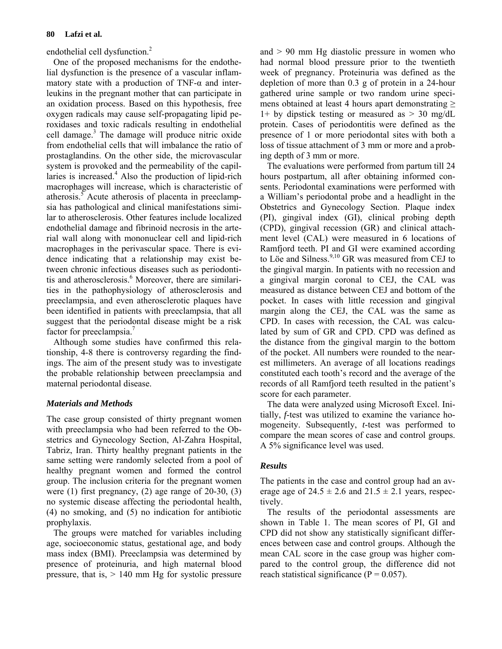endothelial cell dysfunction.<sup>2</sup>

One of the proposed mechanisms for the endothelial dysfunction is the presence of a vascular inflammatory state with a production of  $TNF-\alpha$  and interleukins in the pregnant mother that can participate in an oxidation process. Based on this hypothesis, free oxygen radicals may cause self-propagating lipid peroxidases and toxic radicals resulting in endothelial cell damage.<sup>3</sup> The damage will produce nitric oxide from endothelial cells that will imbalance the ratio of prostaglandins. On the other side, the microvascular system is provoked and the permeability of the capillaries is increased.<sup>4</sup> Also the production of lipid-rich macrophages will increase, which is characteristic of atherosis.<sup>5</sup> Acute atherosis of placenta in preeclampsia has pathological and clinical manifestations similar to atherosclerosis. Other features include localized endothelial damage and fibrinoid necrosis in the arterial wall along with mononuclear cell and lipid-rich macrophages in the perivascular space. There is evidence indicating that a relationship may exist between chronic infectious diseases such as periodontitis and atherosclerosis.<sup>6</sup> Moreover, there are similarities in the pathophysiology of atherosclerosis and preeclampsia, and even atherosclerotic plaques have been identified in patients with preeclampsia, that all suggest that the periodontal disease might be a risk factor for preeclampsia.<sup>7</sup>

Although some studies have confirmed this relationship, 4-8 there is controversy regarding the findings. The aim of the present study was to investigate the probable relationship between preeclampsia and maternal periodontal disease.

## *Materials and Methods*

The case group consisted of thirty pregnant women with preeclampsia who had been referred to the Obstetrics and Gynecology Section, Al-Zahra Hospital, Tabriz, Iran. Thirty healthy pregnant patients in the same setting were randomly selected from a pool of healthy pregnant women and formed the control group. The inclusion criteria for the pregnant women were (1) first pregnancy, (2) age range of 20-30, (3) no systemic disease affecting the periodontal health, (4) no smoking, and (5) no indication for antibiotic prophylaxis.

The groups were matched for variables including age, socioeconomic status, gestational age, and body mass index (BMI). Preeclampsia was determined by presence of proteinuria, and high maternal blood pressure, that is,  $> 140$  mm Hg for systolic pressure and > 90 mm Hg diastolic pressure in women who had normal blood pressure prior to the twentieth week of pregnancy. Proteinuria was defined as the depletion of more than 0.3 g of protein in a 24-hour gathered urine sample or two random urine specimens obtained at least 4 hours apart demonstrating  $\geq$ 1+ by dipstick testing or measured as  $> 30$  mg/dL protein. Cases of periodontitis were defined as the presence of 1 or more periodontal sites with both a loss of tissue attachment of 3 mm or more and a probing depth of 3 mm or more.

The evaluations were performed from partum till 24 hours postpartum, all after obtaining informed consents. Periodontal examinations were performed with a William's periodontal probe and a headlight in the Obstetrics and Gynecology Section. Plaque index (PI), gingival index (GI), clinical probing depth (CPD), gingival recession (GR) and clinical attachment level (CAL) were measured in 6 locations of Ramfjord teeth. PI and GI were examined according to Löe and Silness. $9,10$  GR was measured from CEJ to the gingival margin. In patients with no recession and a gingival margin coronal to CEJ, the CAL was measured as distance between CEJ and bottom of the pocket. In cases with little recession and gingival margin along the CEJ, the CAL was the same as CPD. In cases with recession, the CAL was calculated by sum of GR and CPD. CPD was defined as the distance from the gingival margin to the bottom of the pocket. All numbers were rounded to the nearest millimeters. An average of all locations readings constituted each tooth's record and the average of the records of all Ramfjord teeth resulted in the patient's score for each parameter.

The data were analyzed using Microsoft Excel. Initially, *f*-test was utilized to examine the variance homogeneity. Subsequently, *t*-test was performed to compare the mean scores of case and control groups. A 5% significance level was used.

## *Results*

The patients in the case and control group had an average age of  $24.5 \pm 2.6$  and  $21.5 \pm 2.1$  years, respectively.

The results of the periodontal assessments are shown in Table 1. The mean scores of PI, GI and CPD did not show any statistically significant differences between case and control groups. Although the mean CAL score in the case group was higher compared to the control group, the difference did not reach statistical significance ( $P = 0.057$ ).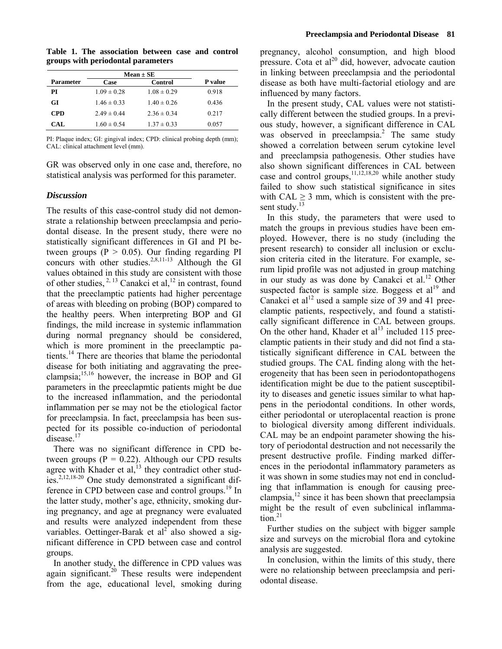**Table 1. The association between case and control groups with periodontal parameters** 

|            | $Mean \pm SE$   |                 |                |
|------------|-----------------|-----------------|----------------|
| Parameter  | Case            | Control         | <b>P</b> value |
| PI         | $1.09 \pm 0.28$ | $1.08 \pm 0.29$ | 0.918          |
| GІ         | $1.46 \pm 0.33$ | $1.40 \pm 0.26$ | 0.436          |
| <b>CPD</b> | $2.49 \pm 0.44$ | $2.36 \pm 0.34$ | 0.217          |
| CAL.       | $1.60 \pm 0.54$ | $1.37 \pm 0.33$ | 0.057          |

PI: Plaque index; GI: gingival index; CPD: clinical probing depth (mm); CAL: clinical attachment level (mm).

GR was observed only in one case and, therefore, no statistical analysis was performed for this parameter.

#### *Discussion*

The results of this case-control study did not demonstrate a relationship between preeclampsia and periodontal disease. In the present study, there were no statistically significant differences in GI and PI between groups ( $P > 0.05$ ). Our finding regarding PI concurs with other studies.<sup>2,8,11-13</sup> Although the GI values obtained in this study are consistent with those of other studies,  $^{2, 13}$  Canakci et al,  $^{12}$  in contrast, found that the preeclamptic patients had higher percentage of areas with bleeding on probing (BOP) compared to the healthy peers. When interpreting BOP and GI findings, the mild increase in systemic inflammation during normal pregnancy should be considered, which is more prominent in the preeclamptic patients.14 There are theories that blame the periodontal disease for both initiating and aggravating the preeclampsia;15,16 however, the increase in BOP and GI parameters in the preeclapmtic patients might be due to the increased inflammation, and the periodontal inflammation per se may not be the etiological factor for preeclampsia. In fact, preeclampsia has been suspected for its possible co-induction of periodontal  $\hat{d}$ isease.<sup>17</sup>

There was no significant difference in CPD between groups ( $P = 0.22$ ). Although our CPD results agree with Khader et al, $^{13}$  they contradict other studies.2,12,18-20 One study demonstrated a significant difference in CPD between case and control groups.<sup>19</sup> In the latter study, mother's age, ethnicity, smoking during pregnancy, and age at pregnancy were evaluated and results were analyzed independent from these variables. Oettinger-Barak et al<sup>2</sup> also showed a significant difference in CPD between case and control groups.

In another study, the difference in CPD values was again significant.<sup>20</sup> These results were independent from the age, educational level, smoking during

pregnancy, alcohol consumption, and high blood pressure. Cota et  $al^{20}$  did, however, advocate caution in linking between preeclampsia and the periodontal disease as both have multi-factorial etiology and are influenced by many factors.

In the present study, CAL values were not statistically different between the studied groups. In a previous study, however, a significant difference in CAL was observed in preeclampsia.<sup>2</sup> The same study showed a correlation between serum cytokine level and preeclampsia pathogenesis. Other studies have also shown significant differences in CAL between case and control groups,  $11,12,18,20$  while another study failed to show such statistical significance in sites with CAL  $\geq$  3 mm, which is consistent with the present study.<sup>13</sup>

In this study, the parameters that were used to match the groups in previous studies have been employed. However, there is no study (including the present research) to consider all inclusion or exclusion criteria cited in the literature. For example, serum lipid profile was not adjusted in group matching in our study as was done by Canakci et al.<sup>12</sup> Other suspected factor is sample size. Boggess et  $al<sup>19</sup>$  and Canakci et al<sup>12</sup> used a sample size of 39 and 41 preeclamptic patients, respectively, and found a statistically significant difference in CAL between groups. On the other hand, Khader et al<sup>13</sup> included 115 preeclamptic patients in their study and did not find a statistically significant difference in CAL between the studied groups. The CAL finding along with the heterogeneity that has been seen in periodontopathogens identification might be due to the patient susceptibility to diseases and genetic issues similar to what happens in the periodontal conditions. In other words, either periodontal or uteroplacental reaction is prone to biological diversity among different individuals. CAL may be an endpoint parameter showing the history of periodontal destruction and not necessarily the present destructive profile. Finding marked differences in the periodontal inflammatory parameters as it was shown in some studies may not end in concluding that inflammation is enough for causing preeclampsia, $^{12}$  since it has been shown that preeclampsia might be the result of even subclinical inflammation. $21$ 

Further studies on the subject with bigger sample size and surveys on the microbial flora and cytokine analysis are suggested.

In conclusion, within the limits of this study, there were no relationship between preeclampsia and periodontal disease.